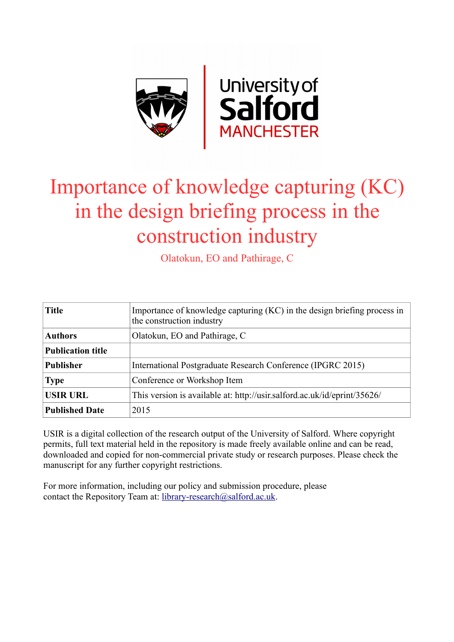

# Importance of knowledge capturing (KC) in the design briefing process in the construction industry

Olatokun, EO and Pathirage, C

| <b>Title</b>             | Importance of knowledge capturing (KC) in the design briefing process in<br>the construction industry |
|--------------------------|-------------------------------------------------------------------------------------------------------|
| <b>Authors</b>           | Olatokun, EO and Pathirage, C                                                                         |
| <b>Publication title</b> |                                                                                                       |
| <b>Publisher</b>         | International Postgraduate Research Conference (IPGRC 2015)                                           |
| <b>Type</b>              | Conference or Workshop Item                                                                           |
| <b>USIR URL</b>          | This version is available at: http://usir.salford.ac.uk/id/eprint/35626/                              |
| <b>Published Date</b>    | 2015                                                                                                  |

USIR is a digital collection of the research output of the University of Salford. Where copyright permits, full text material held in the repository is made freely available online and can be read, downloaded and copied for non-commercial private study or research purposes. Please check the manuscript for any further copyright restrictions.

For more information, including our policy and submission procedure, please contact the Repository Team at: [library-research@salford.ac.uk.](mailto:library-research@salford.ac.uk)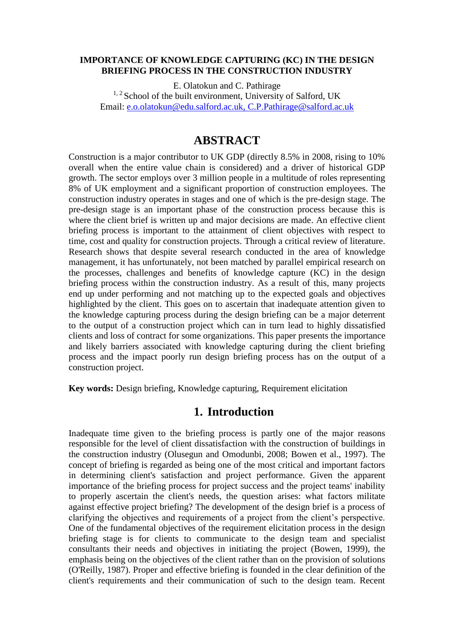#### **IMPORTANCE OF KNOWLEDGE CAPTURING (KC) IN THE DESIGN BRIEFING PROCESS IN THE CONSTRUCTION INDUSTRY**

E. Olatokun and C. Pathirage <sup>1, 2</sup> School of the built environment, University of Salford, UK Email: [e.o.olatokun@edu.salford.ac.uk,](mailto:e.o.olatokun@edu.salford.ac.uk) [C.P.Pathirage@salford.ac.uk](mailto:C.P.Pathirage@salford.ac.uk)

# **ABSTRACT**

Construction is a major contributor to UK GDP (directly 8.5% in 2008, rising to 10% overall when the entire value chain is considered) and a driver of historical GDP growth. The sector employs over 3 million people in a multitude of roles representing 8% of UK employment and a significant proportion of construction employees. The construction industry operates in stages and one of which is the pre-design stage. The pre-design stage is an important phase of the construction process because this is where the client brief is written up and major decisions are made. An effective client briefing process is important to the attainment of client objectives with respect to time, cost and quality for construction projects. Through a critical review of literature. Research shows that despite several research conducted in the area of knowledge management, it has unfortunately, not been matched by parallel empirical research on the processes, challenges and benefits of knowledge capture (KC) in the design briefing process within the construction industry. As a result of this, many projects end up under performing and not matching up to the expected goals and objectives highlighted by the client. This goes on to ascertain that inadequate attention given to the knowledge capturing process during the design briefing can be a major deterrent to the output of a construction project which can in turn lead to highly dissatisfied clients and loss of contract for some organizations. This paper presents the importance and likely barriers associated with knowledge capturing during the client briefing process and the impact poorly run design briefing process has on the output of a construction project.

**Key words:** Design briefing, Knowledge capturing, Requirement elicitation

## **1. Introduction**

Inadequate time given to the briefing process is partly one of the major reasons responsible for the level of client dissatisfaction with the construction of buildings in the construction industry (Olusegun and Omodunbi, 2008; Bowen et al., 1997). The concept of briefing is regarded as being one of the most critical and important factors in determining client's satisfaction and project performance. Given the apparent importance of the briefing process for project success and the project teams' inability to properly ascertain the client's needs, the question arises: what factors militate against effective project briefing? The development of the design brief is a process of clarifying the objectives and requirements of a project from the client's perspective. One of the fundamental objectives of the requirement elicitation process in the design briefing stage is for clients to communicate to the design team and specialist consultants their needs and objectives in initiating the project (Bowen, 1999), the emphasis being on the objectives of the client rather than on the provision of solutions (O'Reilly, 1987). Proper and effective briefing is founded in the clear definition of the client's requirements and their communication of such to the design team. Recent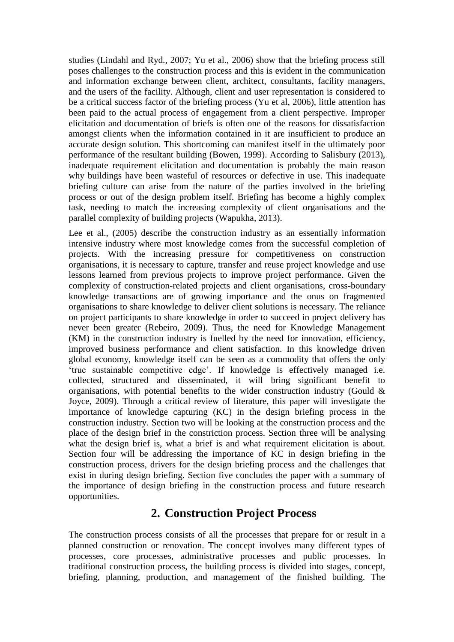studies (Lindahl and Ryd., 2007; Yu et al., 2006) show that the briefing process still poses challenges to the construction process and this is evident in the communication and information exchange between client, architect, consultants, facility managers, and the users of the facility. Although, client and user representation is considered to be a critical success factor of the briefing process (Yu et al, 2006), little attention has been paid to the actual process of engagement from a client perspective. Improper elicitation and documentation of briefs is often one of the reasons for dissatisfaction amongst clients when the information contained in it are insufficient to produce an accurate design solution. This shortcoming can manifest itself in the ultimately poor performance of the resultant building (Bowen, 1999). According to Salisbury (2013), inadequate requirement elicitation and documentation is probably the main reason why buildings have been wasteful of resources or defective in use. This inadequate briefing culture can arise from the nature of the parties involved in the briefing process or out of the design problem itself. Briefing has become a highly complex task, needing to match the increasing complexity of client organisations and the parallel complexity of building projects (Wapukha, 2013).

Lee et al., (2005) describe the construction industry as an essentially information intensive industry where most knowledge comes from the successful completion of projects. With the increasing pressure for competitiveness on construction organisations, it is necessary to capture, transfer and reuse project knowledge and use lessons learned from previous projects to improve project performance. Given the complexity of construction-related projects and client organisations, cross-boundary knowledge transactions are of growing importance and the onus on fragmented organisations to share knowledge to deliver client solutions is necessary. The reliance on project participants to share knowledge in order to succeed in project delivery has never been greater (Rebeiro, 2009). Thus, the need for Knowledge Management (KM) in the construction industry is fuelled by the need for innovation, efficiency, improved business performance and client satisfaction. In this knowledge driven global economy, knowledge itself can be seen as a commodity that offers the only 'true sustainable competitive edge'. If knowledge is effectively managed i.e. collected, structured and disseminated, it will bring significant benefit to organisations, with potential benefits to the wider construction industry (Gould  $\&$ Joyce, 2009). Through a critical review of literature, this paper will investigate the importance of knowledge capturing (KC) in the design briefing process in the construction industry. Section two will be looking at the construction process and the place of the design brief in the constriction process. Section three will be analysing what the design brief is, what a brief is and what requirement elicitation is about. Section four will be addressing the importance of KC in design briefing in the construction process, drivers for the design briefing process and the challenges that exist in during design briefing. Section five concludes the paper with a summary of the importance of design briefing in the construction process and future research opportunities.

# **2. Construction Project Process**

The construction process consists of all the processes that prepare for or result in a planned construction or renovation. The concept involves many different types of processes, core processes, administrative processes and public processes. In traditional construction process, the building process is divided into stages, concept, briefing, planning, production, and management of the finished building. The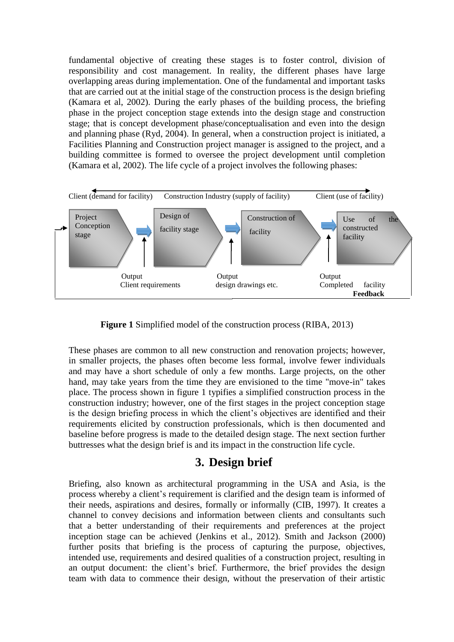fundamental objective of creating these stages is to foster control, division of responsibility and cost management. In reality, the different phases have large overlapping areas during implementation. One of the fundamental and important tasks that are carried out at the initial stage of the construction process is the design briefing (Kamara et al, 2002). During the early phases of the building process, the briefing phase in the project conception stage extends into the design stage and construction stage; that is concept development phase/conceptualisation and even into the design and planning phase (Ryd, 2004). In general, when a construction project is initiated, a Facilities Planning and Construction project manager is assigned to the project, and a building committee is formed to oversee the project development until completion (Kamara et al, 2002). The life cycle of a project involves the following phases:



**Figure 1** Simplified model of the construction process (RIBA, 2013)

These phases are common to all new construction and renovation projects; however, in smaller projects, the phases often become less formal, involve fewer individuals and may have a short schedule of only a few months. Large projects, on the other hand, may take years from the time they are envisioned to the time "move-in" takes place. The process shown in figure 1 typifies a simplified construction process in the construction industry; however, one of the first stages in the project conception stage is the design briefing process in which the client's objectives are identified and their requirements elicited by construction professionals, which is then documented and baseline before progress is made to the detailed design stage. The next section further buttresses what the design brief is and its impact in the construction life cycle.

# **3. Design brief**

Briefing, also known as architectural programming in the USA and Asia, is the process whereby a client's requirement is clarified and the design team is informed of their needs, aspirations and desires, formally or informally (CIB, 1997). It creates a channel to convey decisions and information between clients and consultants such that a better understanding of their requirements and preferences at the project inception stage can be achieved (Jenkins et al., 2012). Smith and Jackson (2000) further posits that briefing is the process of capturing the purpose, objectives, intended use, requirements and desired qualities of a construction project, resulting in an output document: the client's brief. Furthermore, the brief provides the design team with data to commence their design, without the preservation of their artistic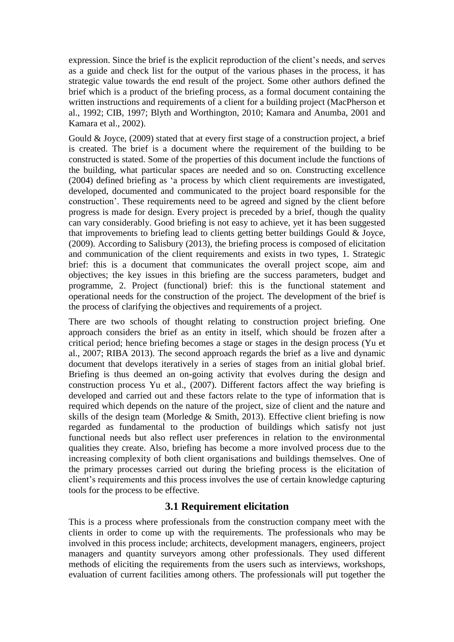expression. Since the brief is the explicit reproduction of the client's needs, and serves as a guide and check list for the output of the various phases in the process, it has strategic value towards the end result of the project. Some other authors defined the brief which is a product of the briefing process, as a formal document containing the written instructions and requirements of a client for a building project (MacPherson et al., 1992; CIB, 1997; Blyth and Worthington, 2010; Kamara and Anumba, 2001 and Kamara et al., 2002).

Gould & Joyce, (2009) stated that at every first stage of a construction project, a brief is created. The brief is a document where the requirement of the building to be constructed is stated. Some of the properties of this document include the functions of the building, what particular spaces are needed and so on. Constructing excellence (2004) defined briefing as 'a process by which client requirements are investigated, developed, documented and communicated to the project board responsible for the construction'. These requirements need to be agreed and signed by the client before progress is made for design. Every project is preceded by a brief, though the quality can vary considerably. Good briefing is not easy to achieve, yet it has been suggested that improvements to briefing lead to clients getting better buildings Gould & Joyce, (2009). According to Salisbury (2013), the briefing process is composed of elicitation and communication of the client requirements and exists in two types, 1. Strategic brief: this is a document that communicates the overall project scope, aim and objectives; the key issues in this briefing are the success parameters, budget and programme, 2. Project (functional) brief: this is the functional statement and operational needs for the construction of the project. The development of the brief is the process of clarifying the objectives and requirements of a project.

There are two schools of thought relating to construction project briefing. One approach considers the brief as an entity in itself, which should be frozen after a critical period; hence briefing becomes a stage or stages in the design process (Yu et al., 2007; RIBA 2013). The second approach regards the brief as a live and dynamic document that develops iteratively in a series of stages from an initial global brief. Briefing is thus deemed an on-going activity that evolves during the design and construction process Yu et al., (2007). Different factors affect the way briefing is developed and carried out and these factors relate to the type of information that is required which depends on the nature of the project, size of client and the nature and skills of the design team (Morledge & Smith, 2013). Effective client briefing is now regarded as fundamental to the production of buildings which satisfy not just functional needs but also reflect user preferences in relation to the environmental qualities they create. Also, briefing has become a more involved process due to the increasing complexity of both client organisations and buildings themselves. One of the primary processes carried out during the briefing process is the elicitation of client's requirements and this process involves the use of certain knowledge capturing tools for the process to be effective.

#### **3.1 Requirement elicitation**

This is a process where professionals from the construction company meet with the clients in order to come up with the requirements. The professionals who may be involved in this process include; architects, development managers, engineers, project managers and quantity surveyors among other professionals. They used different methods of eliciting the requirements from the users such as interviews, workshops, evaluation of current facilities among others. The professionals will put together the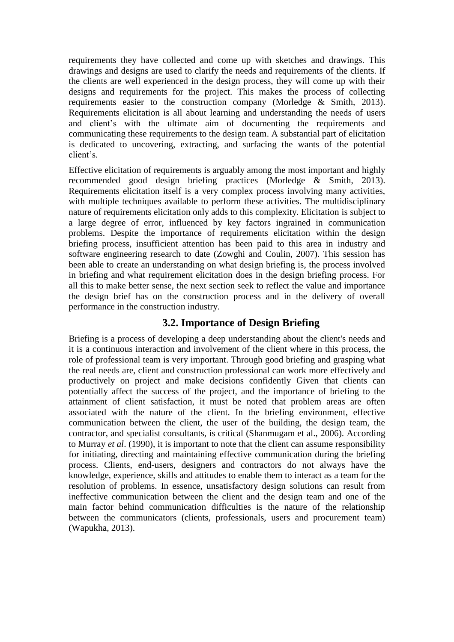requirements they have collected and come up with sketches and drawings. This drawings and designs are used to clarify the needs and requirements of the clients. If the clients are well experienced in the design process, they will come up with their designs and requirements for the project. This makes the process of collecting requirements easier to the construction company (Morledge & Smith, 2013). Requirements elicitation is all about learning and understanding the needs of users and client's with the ultimate aim of documenting the requirements and communicating these requirements to the design team. A substantial part of elicitation is dedicated to uncovering, extracting, and surfacing the wants of the potential client's.

Effective elicitation of requirements is arguably among the most important and highly recommended good design briefing practices (Morledge & Smith, 2013). Requirements elicitation itself is a very complex process involving many activities, with multiple techniques available to perform these activities. The multidisciplinary nature of requirements elicitation only adds to this complexity. Elicitation is subject to a large degree of error, influenced by key factors ingrained in communication problems. Despite the importance of requirements elicitation within the design briefing process, insufficient attention has been paid to this area in industry and software engineering research to date (Zowghi and Coulin, 2007). This session has been able to create an understanding on what design briefing is, the process involved in briefing and what requirement elicitation does in the design briefing process. For all this to make better sense, the next section seek to reflect the value and importance the design brief has on the construction process and in the delivery of overall performance in the construction industry.

#### **3.2. Importance of Design Briefing**

Briefing is a process of developing a deep understanding about the client's needs and it is a continuous interaction and involvement of the client where in this process, the role of professional team is very important. Through good briefing and grasping what the real needs are, client and construction professional can work more effectively and productively on project and make decisions confidently Given that clients can potentially affect the success of the project, and the importance of briefing to the attainment of client satisfaction, it must be noted that problem areas are often associated with the nature of the client. In the briefing environment, effective communication between the client, the user of the building, the design team, the contractor, and specialist consultants, is critical (Shanmugam et al., 2006). According to Murray *et al*. (1990), it is important to note that the client can assume responsibility for initiating, directing and maintaining effective communication during the briefing process. Clients, end-users, designers and contractors do not always have the knowledge, experience, skills and attitudes to enable them to interact as a team for the resolution of problems. In essence, unsatisfactory design solutions can result from ineffective communication between the client and the design team and one of the main factor behind communication difficulties is the nature of the relationship between the communicators (clients, professionals, users and procurement team) (Wapukha, 2013).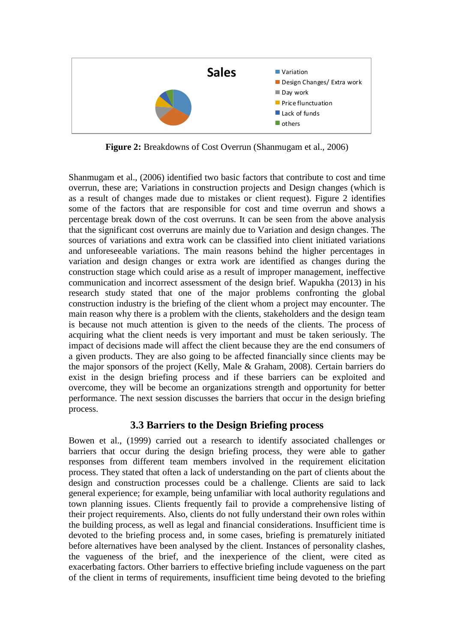

**Figure 2:** Breakdowns of Cost Overrun (Shanmugam et al., 2006)

Shanmugam et al., (2006) identified two basic factors that contribute to cost and time overrun, these are; Variations in construction projects and Design changes (which is as a result of changes made due to mistakes or client request). Figure 2 identifies some of the factors that are responsible for cost and time overrun and shows a percentage break down of the cost overruns. It can be seen from the above analysis that the significant cost overruns are mainly due to Variation and design changes. The sources of variations and extra work can be classified into client initiated variations and unforeseeable variations. The main reasons behind the higher percentages in variation and design changes or extra work are identified as changes during the construction stage which could arise as a result of improper management, ineffective communication and incorrect assessment of the design brief. Wapukha (2013) in his research study stated that one of the major problems confronting the global construction industry is the briefing of the client whom a project may encounter. The main reason why there is a problem with the clients, stakeholders and the design team is because not much attention is given to the needs of the clients. The process of acquiring what the client needs is very important and must be taken seriously. The impact of decisions made will affect the client because they are the end consumers of a given products. They are also going to be affected financially since clients may be the major sponsors of the project (Kelly, Male & Graham, 2008). Certain barriers do exist in the design briefing process and if these barriers can be exploited and overcome, they will be become an organizations strength and opportunity for better performance. The next session discusses the barriers that occur in the design briefing process.

#### **3.3 Barriers to the Design Briefing process**

Bowen et al., (1999) carried out a research to identify associated challenges or barriers that occur during the design briefing process, they were able to gather responses from different team members involved in the requirement elicitation process. They stated that often a lack of understanding on the part of clients about the design and construction processes could be a challenge. Clients are said to lack general experience; for example, being unfamiliar with local authority regulations and town planning issues. Clients frequently fail to provide a comprehensive listing of their project requirements. Also, clients do not fully understand their own roles within the building process, as well as legal and financial considerations. Insufficient time is devoted to the briefing process and, in some cases, briefing is prematurely initiated before alternatives have been analysed by the client. Instances of personality clashes, the vagueness of the brief, and the inexperience of the client, were cited as exacerbating factors. Other barriers to effective briefing include vagueness on the part of the client in terms of requirements, insufficient time being devoted to the briefing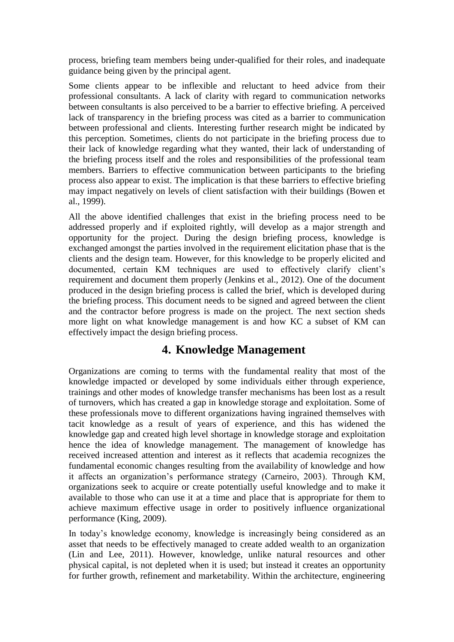process, briefing team members being under-qualified for their roles, and inadequate guidance being given by the principal agent.

Some clients appear to be inflexible and reluctant to heed advice from their professional consultants. A lack of clarity with regard to communication networks between consultants is also perceived to be a barrier to effective briefing. A perceived lack of transparency in the briefing process was cited as a barrier to communication between professional and clients. Interesting further research might be indicated by this perception. Sometimes, clients do not participate in the briefing process due to their lack of knowledge regarding what they wanted, their lack of understanding of the briefing process itself and the roles and responsibilities of the professional team members. Barriers to effective communication between participants to the briefing process also appear to exist. The implication is that these barriers to effective briefing may impact negatively on levels of client satisfaction with their buildings (Bowen et al., 1999).

All the above identified challenges that exist in the briefing process need to be addressed properly and if exploited rightly, will develop as a major strength and opportunity for the project. During the design briefing process, knowledge is exchanged amongst the parties involved in the requirement elicitation phase that is the clients and the design team. However, for this knowledge to be properly elicited and documented, certain KM techniques are used to effectively clarify client's requirement and document them properly (Jenkins et al., 2012). One of the document produced in the design briefing process is called the brief, which is developed during the briefing process. This document needs to be signed and agreed between the client and the contractor before progress is made on the project. The next section sheds more light on what knowledge management is and how KC a subset of KM can effectively impact the design briefing process.

# **4. Knowledge Management**

Organizations are coming to terms with the fundamental reality that most of the knowledge impacted or developed by some individuals either through experience, trainings and other modes of knowledge transfer mechanisms has been lost as a result of turnovers, which has created a gap in knowledge storage and exploitation. Some of these professionals move to different organizations having ingrained themselves with tacit knowledge as a result of years of experience, and this has widened the knowledge gap and created high level shortage in knowledge storage and exploitation hence the idea of knowledge management. The management of knowledge has received increased attention and interest as it reflects that academia recognizes the fundamental economic changes resulting from the availability of knowledge and how it affects an organization's performance strategy (Carneiro, 2003). Through KM, organizations seek to acquire or create potentially useful knowledge and to make it available to those who can use it at a time and place that is appropriate for them to achieve maximum effective usage in order to positively influence organizational performance (King, 2009).

In today's knowledge economy, knowledge is increasingly being considered as an asset that needs to be effectively managed to create added wealth to an organization (Lin and Lee, 2011). However, knowledge, unlike natural resources and other physical capital, is not depleted when it is used; but instead it creates an opportunity for further growth, refinement and marketability. Within the architecture, engineering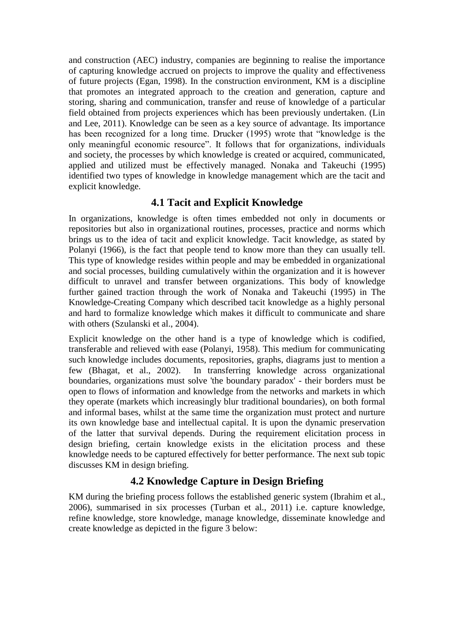and construction (AEC) industry, companies are beginning to realise the importance of capturing knowledge accrued on projects to improve the quality and effectiveness of future projects (Egan, 1998). In the construction environment, KM is a discipline that promotes an integrated approach to the creation and generation, capture and storing, sharing and communication, transfer and reuse of knowledge of a particular field obtained from projects experiences which has been previously undertaken. (Lin and Lee, 2011). Knowledge can be seen as a key source of advantage. Its importance has been recognized for a long time. Drucker (1995) wrote that "knowledge is the only meaningful economic resource". It follows that for organizations, individuals and society, the processes by which knowledge is created or acquired, communicated, applied and utilized must be effectively managed. Nonaka and Takeuchi (1995) identified two types of knowledge in knowledge management which are the tacit and explicit knowledge.

## **4.1 Tacit and Explicit Knowledge**

In organizations, knowledge is often times embedded not only in documents or repositories but also in organizational routines, processes, practice and norms which brings us to the idea of tacit and explicit knowledge. Tacit knowledge, as stated by Polanyi (1966), is the fact that people tend to know more than they can usually tell. This type of knowledge resides within people and may be embedded in organizational and social processes, building cumulatively within the organization and it is however difficult to unravel and transfer between organizations. This body of knowledge further gained traction through the work of Nonaka and Takeuchi (1995) in The Knowledge-Creating Company which described tacit knowledge as a highly personal and hard to formalize knowledge which makes it difficult to communicate and share with others (Szulanski et al., 2004).

Explicit knowledge on the other hand is a type of knowledge which is codified, transferable and relieved with ease (Polanyi, 1958). This medium for communicating such knowledge includes documents, repositories, graphs, diagrams just to mention a few (Bhagat, et al., 2002). In transferring knowledge across organizational boundaries, organizations must solve 'the boundary paradox' - their borders must be open to flows of information and knowledge from the networks and markets in which they operate (markets which increasingly blur traditional boundaries), on both formal and informal bases, whilst at the same time the organization must protect and nurture its own knowledge base and intellectual capital. It is upon the dynamic preservation of the latter that survival depends. During the requirement elicitation process in design briefing, certain knowledge exists in the elicitation process and these knowledge needs to be captured effectively for better performance. The next sub topic discusses KM in design briefing.

# **4.2 Knowledge Capture in Design Briefing**

KM during the briefing process follows the established generic system (Ibrahim et al., 2006), summarised in six processes (Turban et al., 2011) i.e. capture knowledge, refine knowledge, store knowledge, manage knowledge, disseminate knowledge and create knowledge as depicted in the figure 3 below: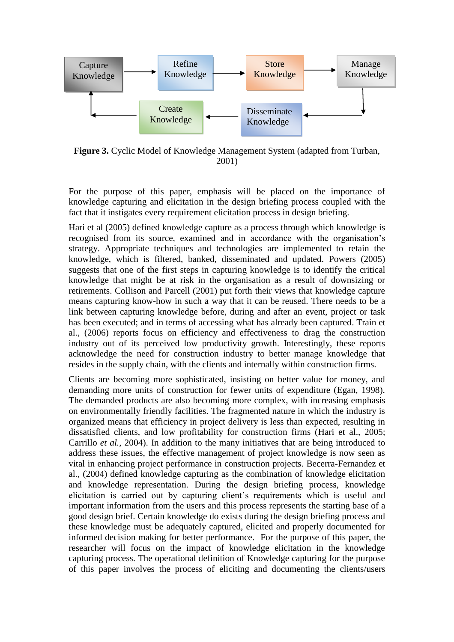

**Figure 3.** Cyclic Model of Knowledge Management System (adapted from Turban, 2001)

For the purpose of this paper, emphasis will be placed on the importance of knowledge capturing and elicitation in the design briefing process coupled with the fact that it instigates every requirement elicitation process in design briefing.

Hari et al (2005) defined knowledge capture as a process through which knowledge is recognised from its source, examined and in accordance with the organisation's strategy. Appropriate techniques and technologies are implemented to retain the knowledge, which is filtered, banked, disseminated and updated. Powers (2005) suggests that one of the first steps in capturing knowledge is to identify the critical knowledge that might be at risk in the organisation as a result of downsizing or retirements. Collison and Parcell (2001) put forth their views that knowledge capture means capturing know-how in such a way that it can be reused. There needs to be a link between capturing knowledge before, during and after an event, project or task has been executed; and in terms of accessing what has already been captured. Train et al., (2006) reports focus on efficiency and effectiveness to drag the construction industry out of its perceived low productivity growth. Interestingly, these reports acknowledge the need for construction industry to better manage knowledge that resides in the supply chain, with the clients and internally within construction firms.

Clients are becoming more sophisticated, insisting on better value for money, and demanding more units of construction for fewer units of expenditure (Egan, 1998). The demanded products are also becoming more complex, with increasing emphasis on environmentally friendly facilities. The fragmented nature in which the industry is organized means that efficiency in project delivery is less than expected, resulting in dissatisfied clients, and low profitability for construction firms (Hari et al., 2005; Carrillo *et al.*, 2004). In addition to the many initiatives that are being introduced to address these issues, the effective management of project knowledge is now seen as vital in enhancing project performance in construction projects. Becerra-Fernandez et al., (2004) defined knowledge capturing as the combination of knowledge elicitation and knowledge representation. During the design briefing process, knowledge elicitation is carried out by capturing client's requirements which is useful and important information from the users and this process represents the starting base of a good design brief. Certain knowledge do exists during the design briefing process and these knowledge must be adequately captured, elicited and properly documented for informed decision making for better performance. For the purpose of this paper, the researcher will focus on the impact of knowledge elicitation in the knowledge capturing process. The operational definition of Knowledge capturing for the purpose of this paper involves the process of eliciting and documenting the clients/users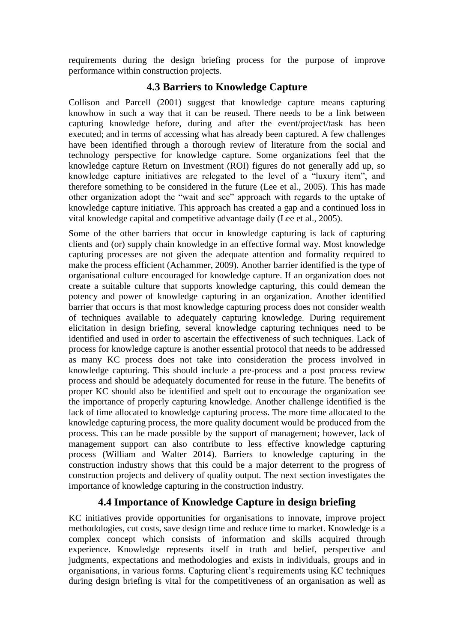requirements during the design briefing process for the purpose of improve performance within construction projects.

#### **4.3 Barriers to Knowledge Capture**

Collison and Parcell (2001) suggest that knowledge capture means capturing knowhow in such a way that it can be reused. There needs to be a link between capturing knowledge before, during and after the event/project/task has been executed; and in terms of accessing what has already been captured. A few challenges have been identified through a thorough review of literature from the social and technology perspective for knowledge capture. Some organizations feel that the knowledge capture Return on Investment (ROI) figures do not generally add up, so knowledge capture initiatives are relegated to the level of a "luxury item", and therefore something to be considered in the future (Lee et al., 2005). This has made other organization adopt the "wait and see" approach with regards to the uptake of knowledge capture initiative. This approach has created a gap and a continued loss in vital knowledge capital and competitive advantage daily (Lee et al., 2005).

Some of the other barriers that occur in knowledge capturing is lack of capturing clients and (or) supply chain knowledge in an effective formal way. Most knowledge capturing processes are not given the adequate attention and formality required to make the process efficient (Achammer, 2009). Another barrier identified is the type of organisational culture encouraged for knowledge capture. If an organization does not create a suitable culture that supports knowledge capturing, this could demean the potency and power of knowledge capturing in an organization. Another identified barrier that occurs is that most knowledge capturing process does not consider wealth of techniques available to adequately capturing knowledge. During requirement elicitation in design briefing, several knowledge capturing techniques need to be identified and used in order to ascertain the effectiveness of such techniques. Lack of process for knowledge capture is another essential protocol that needs to be addressed as many KC process does not take into consideration the process involved in knowledge capturing. This should include a pre-process and a post process review process and should be adequately documented for reuse in the future. The benefits of proper KC should also be identified and spelt out to encourage the organization see the importance of properly capturing knowledge. Another challenge identified is the lack of time allocated to knowledge capturing process. The more time allocated to the knowledge capturing process, the more quality document would be produced from the process. This can be made possible by the support of management; however, lack of management support can also contribute to less effective knowledge capturing process (William and Walter 2014). Barriers to knowledge capturing in the construction industry shows that this could be a major deterrent to the progress of construction projects and delivery of quality output. The next section investigates the importance of knowledge capturing in the construction industry.

## **4.4 Importance of Knowledge Capture in design briefing**

KC initiatives provide opportunities for organisations to innovate, improve project methodologies, cut costs, save design time and reduce time to market. Knowledge is a complex concept which consists of information and skills acquired through experience. Knowledge represents itself in truth and belief, perspective and judgments, expectations and methodologies and exists in individuals, groups and in organisations, in various forms. Capturing client's requirements using KC techniques during design briefing is vital for the competitiveness of an organisation as well as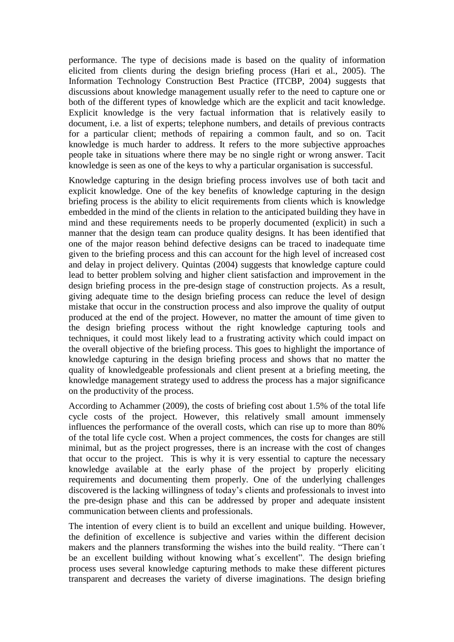performance. The type of decisions made is based on the quality of information elicited from clients during the design briefing process (Hari et al., 2005). The Information Technology Construction Best Practice (ITCBP, 2004) suggests that discussions about knowledge management usually refer to the need to capture one or both of the different types of knowledge which are the explicit and tacit knowledge. Explicit knowledge is the very factual information that is relatively easily to document, i.e. a list of experts; telephone numbers, and details of previous contracts for a particular client; methods of repairing a common fault, and so on. Tacit knowledge is much harder to address. It refers to the more subjective approaches people take in situations where there may be no single right or wrong answer. Tacit knowledge is seen as one of the keys to why a particular organisation is successful.

Knowledge capturing in the design briefing process involves use of both tacit and explicit knowledge. One of the key benefits of knowledge capturing in the design briefing process is the ability to elicit requirements from clients which is knowledge embedded in the mind of the clients in relation to the anticipated building they have in mind and these requirements needs to be properly documented (explicit) in such a manner that the design team can produce quality designs. It has been identified that one of the major reason behind defective designs can be traced to inadequate time given to the briefing process and this can account for the high level of increased cost and delay in project delivery. Quintas (2004) suggests that knowledge capture could lead to better problem solving and higher client satisfaction and improvement in the design briefing process in the pre-design stage of construction projects. As a result, giving adequate time to the design briefing process can reduce the level of design mistake that occur in the construction process and also improve the quality of output produced at the end of the project. However, no matter the amount of time given to the design briefing process without the right knowledge capturing tools and techniques, it could most likely lead to a frustrating activity which could impact on the overall objective of the briefing process. This goes to highlight the importance of knowledge capturing in the design briefing process and shows that no matter the quality of knowledgeable professionals and client present at a briefing meeting, the knowledge management strategy used to address the process has a major significance on the productivity of the process.

According to Achammer (2009), the costs of briefing cost about 1.5% of the total life cycle costs of the project. However, this relatively small amount immensely influences the performance of the overall costs, which can rise up to more than 80% of the total life cycle cost. When a project commences, the costs for changes are still minimal, but as the project progresses, there is an increase with the cost of changes that occur to the project. This is why it is very essential to capture the necessary knowledge available at the early phase of the project by properly eliciting requirements and documenting them properly. One of the underlying challenges discovered is the lacking willingness of today's clients and professionals to invest into the pre-design phase and this can be addressed by proper and adequate insistent communication between clients and professionals.

The intention of every client is to build an excellent and unique building. However, the definition of excellence is subjective and varies within the different decision makers and the planners transforming the wishes into the build reality. "There can´t be an excellent building without knowing what´s excellent". The design briefing process uses several knowledge capturing methods to make these different pictures transparent and decreases the variety of diverse imaginations. The design briefing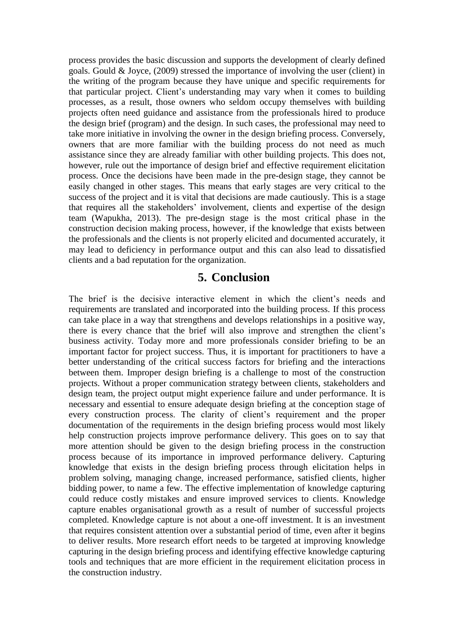process provides the basic discussion and supports the development of clearly defined goals. Gould & Joyce, (2009) stressed the importance of involving the user (client) in the writing of the program because they have unique and specific requirements for that particular project. Client's understanding may vary when it comes to building processes, as a result, those owners who seldom occupy themselves with building projects often need guidance and assistance from the professionals hired to produce the design brief (program) and the design. In such cases, the professional may need to take more initiative in involving the owner in the design briefing process. Conversely, owners that are more familiar with the building process do not need as much assistance since they are already familiar with other building projects. This does not, however, rule out the importance of design brief and effective requirement elicitation process. Once the decisions have been made in the pre-design stage, they cannot be easily changed in other stages. This means that early stages are very critical to the success of the project and it is vital that decisions are made cautiously. This is a stage that requires all the stakeholders' involvement, clients and expertise of the design team (Wapukha, 2013). The pre-design stage is the most critical phase in the construction decision making process, however, if the knowledge that exists between the professionals and the clients is not properly elicited and documented accurately, it may lead to deficiency in performance output and this can also lead to dissatisfied clients and a bad reputation for the organization.

## **5. Conclusion**

The brief is the decisive interactive element in which the client's needs and requirements are translated and incorporated into the building process. If this process can take place in a way that strengthens and develops relationships in a positive way, there is every chance that the brief will also improve and strengthen the client's business activity. Today more and more professionals consider briefing to be an important factor for project success. Thus, it is important for practitioners to have a better understanding of the critical success factors for briefing and the interactions between them. Improper design briefing is a challenge to most of the construction projects. Without a proper communication strategy between clients, stakeholders and design team, the project output might experience failure and under performance. It is necessary and essential to ensure adequate design briefing at the conception stage of every construction process. The clarity of client's requirement and the proper documentation of the requirements in the design briefing process would most likely help construction projects improve performance delivery. This goes on to say that more attention should be given to the design briefing process in the construction process because of its importance in improved performance delivery. Capturing knowledge that exists in the design briefing process through elicitation helps in problem solving, managing change, increased performance, satisfied clients, higher bidding power, to name a few. The effective implementation of knowledge capturing could reduce costly mistakes and ensure improved services to clients. Knowledge capture enables organisational growth as a result of number of successful projects completed. Knowledge capture is not about a one-off investment. It is an investment that requires consistent attention over a substantial period of time, even after it begins to deliver results. More research effort needs to be targeted at improving knowledge capturing in the design briefing process and identifying effective knowledge capturing tools and techniques that are more efficient in the requirement elicitation process in the construction industry.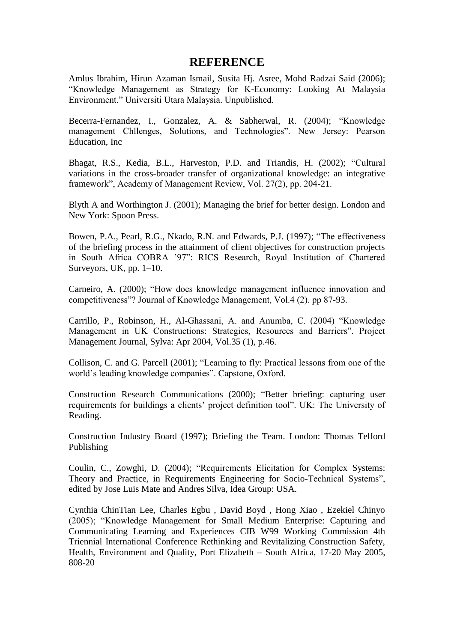## **REFERENCE**

Amlus Ibrahim, Hirun Azaman Ismail, Susita Hj. Asree, Mohd Radzai Said (2006); "Knowledge Management as Strategy for K-Economy: Looking At Malaysia Environment." Universiti Utara Malaysia. Unpublished.

Becerra-Fernandez, I., Gonzalez, A. & Sabherwal, R. (2004); "Knowledge management Chllenges, Solutions, and Technologies". New Jersey: Pearson Education, Inc

Bhagat, R.S., Kedia, B.L., Harveston, P.D. and Triandis, H. (2002); "Cultural variations in the cross-broader transfer of organizational knowledge: an integrative framework", Academy of Management Review, Vol. 27(2), pp. 204-21.

Blyth A and Worthington J. (2001); Managing the brief for better design. London and New York: Spoon Press.

Bowen, P.A., Pearl, R.G., Nkado, R.N. and Edwards, P.J. (1997); "The effectiveness of the briefing process in the attainment of client objectives for construction projects in South Africa COBRA '97": RICS Research, Royal Institution of Chartered Surveyors, UK, pp. 1–10.

Carneiro, A. (2000); "How does knowledge management influence innovation and competitiveness"? Journal of Knowledge Management, Vol.4 (2). pp 87-93.

Carrillo, P., Robinson, H., Al-Ghassani, A. and Anumba, C. (2004) "Knowledge Management in UK Constructions: Strategies, Resources and Barriers". Project Management Journal, Sylva: Apr 2004, Vol.35 (1), p.46.

Collison, C. and G. Parcell (2001); "Learning to fly: Practical lessons from one of the world's leading knowledge companies". Capstone, Oxford.

Construction Research Communications (2000); "Better briefing: capturing user requirements for buildings a clients' project definition tool". UK: The University of Reading.

Construction Industry Board (1997); Briefing the Team. London: Thomas Telford Publishing

Coulin, C., Zowghi, D. (2004); "Requirements Elicitation for Complex Systems: Theory and Practice, in Requirements Engineering for Socio-Technical Systems", edited by Jose Luis Mate and Andres Silva, Idea Group: USA.

Cynthia ChinTian Lee, Charles Egbu , David Boyd , Hong Xiao , Ezekiel Chinyo (2005); "Knowledge Management for Small Medium Enterprise: Capturing and Communicating Learning and Experiences CIB W99 Working Commission 4th Triennial International Conference Rethinking and Revitalizing Construction Safety, Health, Environment and Quality, Port Elizabeth – South Africa, 17-20 May 2005, 808-20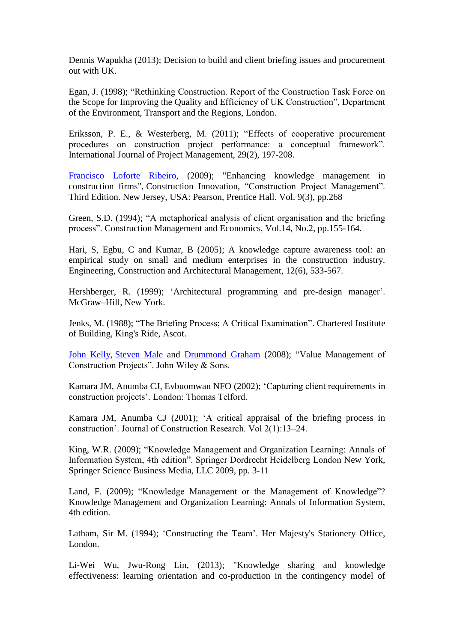Dennis Wapukha (2013); Decision to build and client briefing issues and procurement out with UK.

Egan, J. (1998); "Rethinking Construction. Report of the Construction Task Force on the Scope for Improving the Quality and Efficiency of UK Construction", Department of the Environment, Transport and the Regions, London.

Eriksson, P. E., & Westerberg, M. (2011); "Effects of cooperative procurement procedures on construction project performance: a conceptual framework". International Journal of Project Management, 29(2), 197-208.

[Francisco Loforte Ribeiro,](http://emeraldinsight.com/action/doSearch?ContribStored=Loforte+Ribeiro%2C+F) (2009); "Enhancing knowledge management in construction firms", Construction Innovation, "Construction Project Management". Third Edition. New Jersey, USA: Pearson, Prentice Hall. Vol. 9(3), pp.268

Green, S.D. (1994); "A metaphorical analysis of client organisation and the briefing process". Construction Management and Economics, Vol.14, No.2, pp.155-164.

Hari, S, Egbu, C and Kumar, B (2005); A knowledge capture awareness tool: an empirical study on small and medium enterprises in the construction industry. Engineering, Construction and Architectural Management, 12(6), 533-567.

Hershberger, R. (1999); 'Architectural programming and pre-design manager'. McGraw–Hill, New York.

Jenks, M. (1988); "The Briefing Process; A Critical Examination". Chartered Institute of Building, King's Ride, Ascot.

[John Kelly,](http://www.google.co.uk/search?tbo=p&tbm=bks&q=inauthor:%22John+Kelly%22) [Steven Male](http://www.google.co.uk/search?tbo=p&tbm=bks&q=inauthor:%22Steven+Male%22) and [Drummond Graham](http://www.google.co.uk/search?tbo=p&tbm=bks&q=inauthor:%22Drummond+Graham%22) (2008); "Value Management of Construction Projects". John Wiley & Sons.

Kamara JM, Anumba CJ, Evbuomwan NFO (2002); 'Capturing client requirements in construction projects'. London: Thomas Telford.

Kamara JM, Anumba CJ (2001); 'A critical appraisal of the briefing process in construction'. Journal of Construction Research. Vol 2(1):13–24.

King, W.R. (2009); "Knowledge Management and Organization Learning: Annals of Information System, 4th edition". Springer Dordrecht Heidelberg London New York, Springer Science Business Media, LLC 2009, pp. 3-11

Land, F. (2009); "Knowledge Management or the Management of Knowledge"? Knowledge Management and Organization Learning: Annals of Information System, 4th edition.

Latham, Sir M. (1994); 'Constructing the Team'. Her Majesty's Stationery Office, London.

Li-Wei Wu, Jwu-Rong Lin, (2013); "Knowledge sharing and knowledge effectiveness: learning orientation and co-production in the contingency model of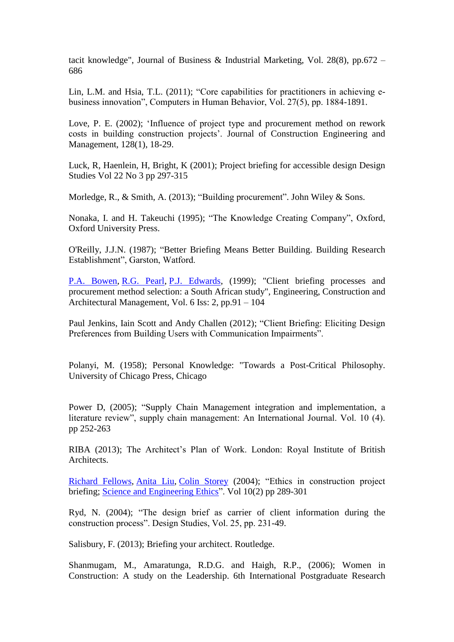tacit knowledge", Journal of Business & Industrial Marketing, Vol. 28(8), pp.672 – 686

Lin, L.M. and Hsia, T.L. (2011); "Core capabilities for practitioners in achieving ebusiness innovation", Computers in Human Behavior, Vol. 27(5), pp. 1884-1891.

Love, P. E. (2002); 'Influence of project type and procurement method on rework costs in building construction projects'. Journal of Construction Engineering and Management, 128(1), 18-29.

Luck, R, Haenlein, H, Bright, K (2001); Project briefing for accessible design Design Studies Vol 22 No 3 pp 297-315

Morledge, R., & Smith, A. (2013); "Building procurement". John Wiley & Sons.

Nonaka, I. and H. Takeuchi (1995); "The Knowledge Creating Company", Oxford, Oxford University Press.

O'Reilly, J.J.N. (1987); "Better Briefing Means Better Building. Building Research Establishment", Garston, Watford.

[P.A. Bowen,](http://www.emeraldinsight.com/action/doSearch?ContribStored=BOWEN%2C+P) [R.G. Pearl,](http://www.emeraldinsight.com/action/doSearch?ContribStored=PEARL%2C+R) [P.J. Edwards,](http://www.emeraldinsight.com/action/doSearch?ContribStored=EDWARDS%2C+P) (1999); "Client briefing processes and procurement method selection: a South African study", Engineering, Construction and Architectural Management, Vol. 6 Iss: 2, pp.91 – 104

Paul Jenkins, Iain Scott and Andy Challen (2012); "Client Briefing: Eliciting Design Preferences from Building Users with Communication Impairments".

Polanyi, M. (1958); Personal Knowledge: "Towards a Post-Critical Philosophy. University of Chicago Press, Chicago

Power D, (2005); "Supply Chain Management integration and implementation, a literature review", supply chain management: An International Journal. Vol. 10 (4). pp 252-263

RIBA (2013); The Architect's Plan of Work. London: Royal Institute of British Architects.

[Richard Fellows,](http://link.springer.com/search?facet-author=%22Richard+Fellows%22) [Anita Liu,](http://link.springer.com/search?facet-author=%22Anita+Liu%22) [Colin Storey](http://link.springer.com/search?facet-author=%22Colin+Storey%22) (2004); "Ethics in construction project briefing; [Science and Engineering Ethics"](http://link.springer.com/journal/11948). Vol 10(2) pp 289-301

Ryd, N. (2004); "The design brief as carrier of client information during the construction process". Design Studies, Vol. 25, pp. 231-49.

Salisbury, F. (2013); Briefing your architect. Routledge.

Shanmugam, M., Amaratunga, R.D.G. and Haigh, R.P., (2006); Women in Construction: A study on the Leadership. 6th International Postgraduate Research